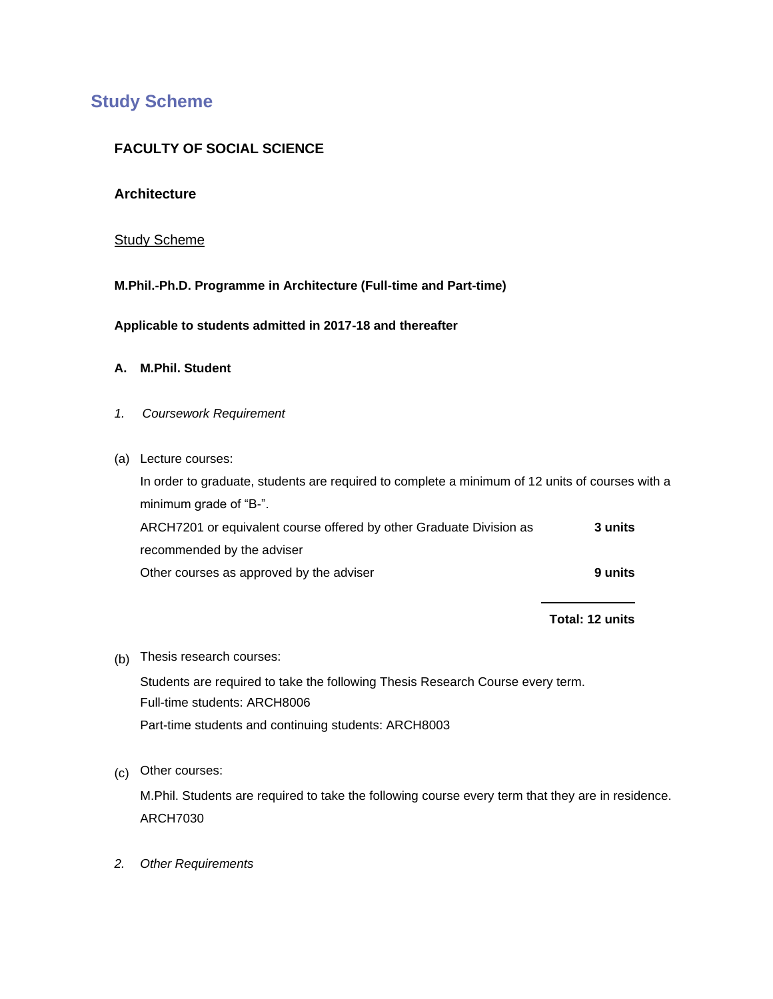# **Study Scheme**

## **FACULTY OF SOCIAL SCIENCE**

### **Architecture**

#### Study Scheme

**M.Phil.-Ph.D. Programme in Architecture (Full-time and Part-time)**

**Applicable to students admitted in 2017-18 and thereafter**

### **A. M.Phil. Student**

- *1. Coursework Requirement*
- (a) Lecture courses:

In order to graduate, students are required to complete a minimum of 12 units of courses with a minimum grade of "B-".

ARCH7201 or equivalent course offered by other Graduate Division as recommended by the adviser **3 units** Other courses as approved by the adviser **9 units 9 units** 

## **Total: 12 units**

(b) Thesis research courses:

Students are required to take the following Thesis Research Course every term. Full-time students: ARCH8006 Part-time students and continuing students: ARCH8003

(c) Other courses:

M.Phil. Students are required to take the following course every term that they are in residence. ARCH7030

*2. Other Requirements*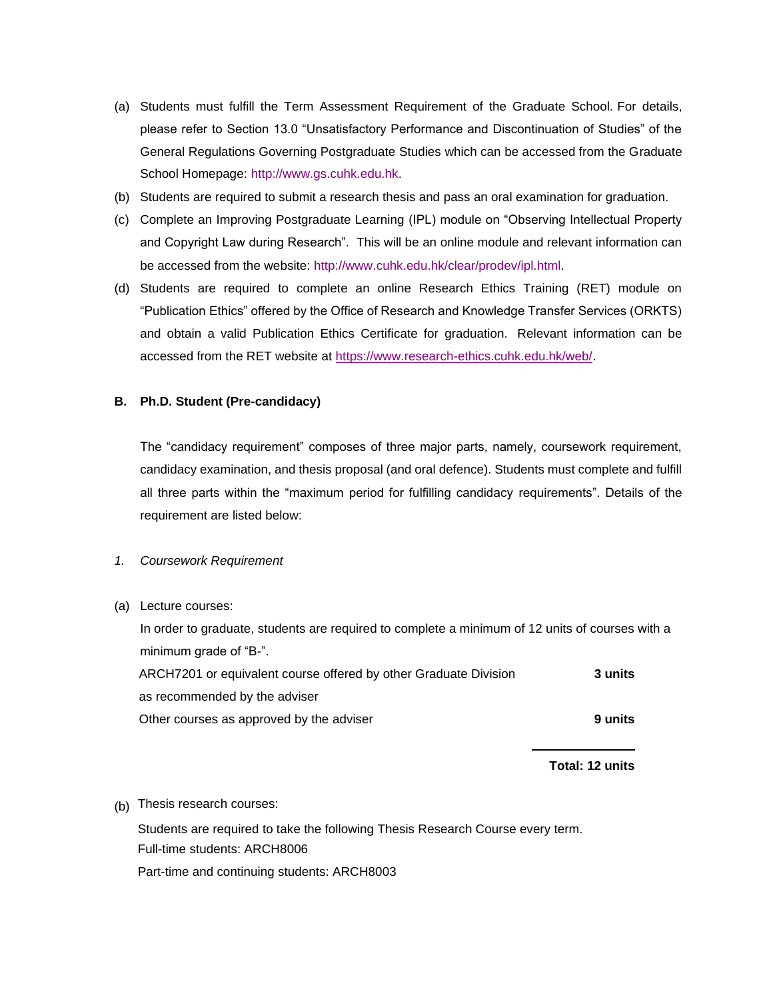- (a) Students must fulfill the Term Assessment Requirement of the Graduate School. For details, please refer to Section 13.0 "Unsatisfactory Performance and Discontinuation of Studies" of the General Regulations Governing Postgraduate Studies which can be accessed from the Graduate School Homepage: [http://www.gs.cuhk.edu.hk.](http://www.gs.cuhk.edu.hk/)
- (b) Students are required to submit a research thesis and pass an oral examination for graduation.
- (c) Complete an Improving Postgraduate Learning (IPL) module on "Observing Intellectual Property and Copyright Law during Research". This will be an online module and relevant information can be accessed from the website: [http://www.cuhk.edu.hk/clear/prodev/ipl.html.](http://www.cuhk.edu.hk/clear/prodev/ipl.html)
- (d) Students are required to complete an online Research Ethics Training (RET) module on "Publication Ethics" offered by the Office of Research and Knowledge Transfer Services (ORKTS) and obtain a valid Publication Ethics Certificate for graduation. Relevant information can be accessed from the RET website at [https://www.research-ethics.cuhk.edu.hk/web/.](https://www.research-ethics.cuhk.edu.hk/web/)

#### **B. Ph.D. Student (Pre-candidacy)**

The "candidacy requirement" composes of three major parts, namely, coursework requirement, candidacy examination, and thesis proposal (and oral defence). Students must complete and fulfill all three parts within the "maximum period for fulfilling candidacy requirements". Details of the requirement are listed below:

#### *1. Coursework Requirement*

(a) Lecture courses:

In order to graduate, students are required to complete a minimum of 12 units of courses with a minimum grade of "B-". ARCH7201 or equivalent course offered by other Graduate Division as recommended by the adviser **3 units**

Other courses as approved by the adviser **9 units**

**Total: 12 units**

(b) Thesis research courses:

Students are required to take the following Thesis Research Course every term. Full-time students: ARCH8006

Part-time and continuing students: ARCH8003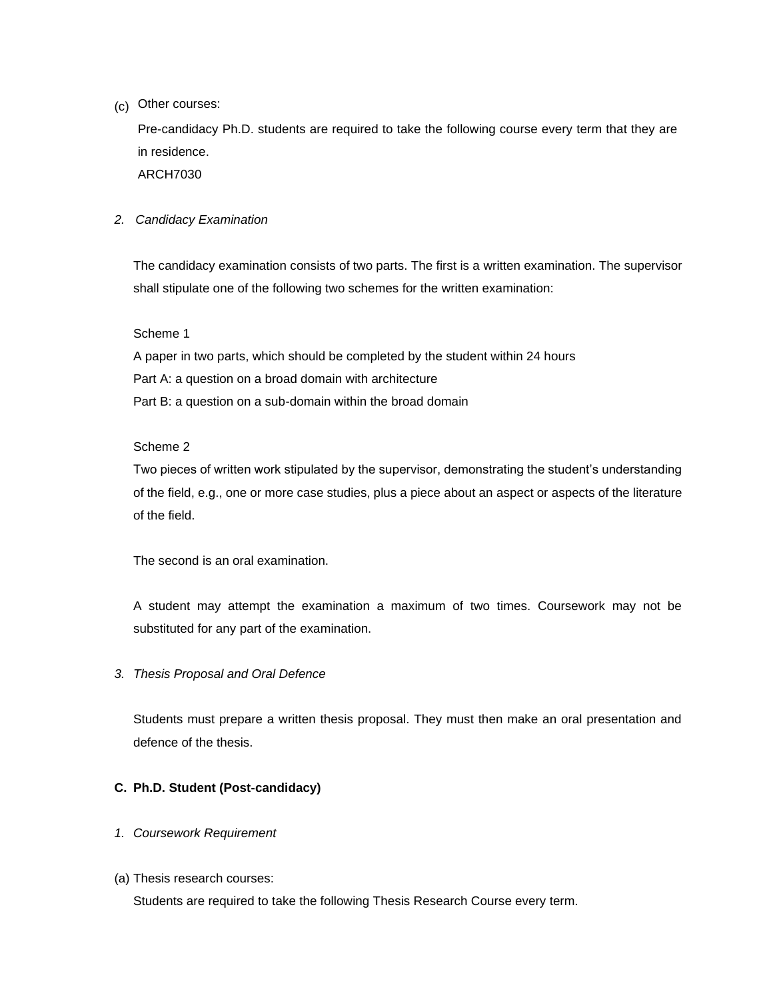(c) Other courses:

Pre-candidacy Ph.D. students are required to take the following course every term that they are in residence.

ARCH7030

#### *2. Candidacy Examination*

The candidacy examination consists of two parts. The first is a written examination. The supervisor shall stipulate one of the following two schemes for the written examination:

#### Scheme 1

A paper in two parts, which should be completed by the student within 24 hours Part A: a question on a broad domain with architecture Part B: a question on a sub-domain within the broad domain

#### Scheme 2

Two pieces of written work stipulated by the supervisor, demonstrating the student's understanding of the field, e.g., one or more case studies, plus a piece about an aspect or aspects of the literature of the field.

The second is an oral examination.

A student may attempt the examination a maximum of two times. Coursework may not be substituted for any part of the examination.

## *3. Thesis Proposal and Oral Defence*

Students must prepare a written thesis proposal. They must then make an oral presentation and defence of the thesis.

## **C. Ph.D. Student (Post-candidacy)**

#### *1. Coursework Requirement*

(a) Thesis research courses:

Students are required to take the following Thesis Research Course every term.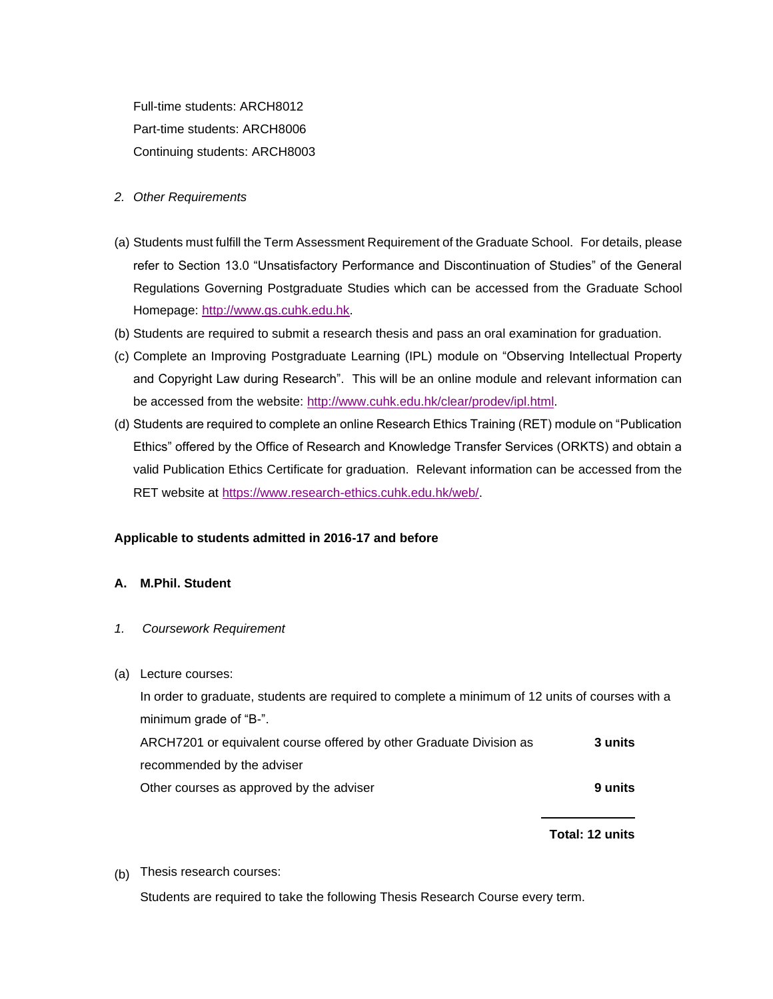Full-time students: ARCH8012 Part-time students: ARCH8006 Continuing students: ARCH8003

- *2. Other Requirements*
- (a) Students must fulfill the Term Assessment Requirement of the Graduate School. For details, please refer to Section 13.0 "Unsatisfactory Performance and Discontinuation of Studies" of the General Regulations Governing Postgraduate Studies which can be accessed from the Graduate School Homepage: [http://www.gs.cuhk.edu.hk.](http://www.gs.cuhk.edu.hk/)
- (b) Students are required to submit a research thesis and pass an oral examination for graduation.
- (c) Complete an Improving Postgraduate Learning (IPL) module on "Observing Intellectual Property and Copyright Law during Research". This will be an online module and relevant information can be accessed from the website: [http://www.cuhk.edu.hk/clear/prodev/ipl.html.](http://www.cuhk.edu.hk/clear/prodev/ipl.html)
- (d) Students are required to complete an online Research Ethics Training (RET) module on "Publication Ethics" offered by the Office of Research and Knowledge Transfer Services (ORKTS) and obtain a valid Publication Ethics Certificate for graduation. Relevant information can be accessed from the RET website at [https://www.research-ethics.cuhk.edu.hk/web/.](https://www.research-ethics.cuhk.edu.hk/web/)

## **Applicable to students admitted in 2016-17 and before**

#### **A. M.Phil. Student**

- *1. Coursework Requirement*
- (a) Lecture courses:

In order to graduate, students are required to complete a minimum of 12 units of courses with a minimum grade of "B-".

ARCH7201 or equivalent course offered by other Graduate Division as recommended by the adviser **3 units** Other courses as approved by the adviser **9 units** 9 units

**Total: 12 units**

(b) Thesis research courses:

Students are required to take the following Thesis Research Course every term.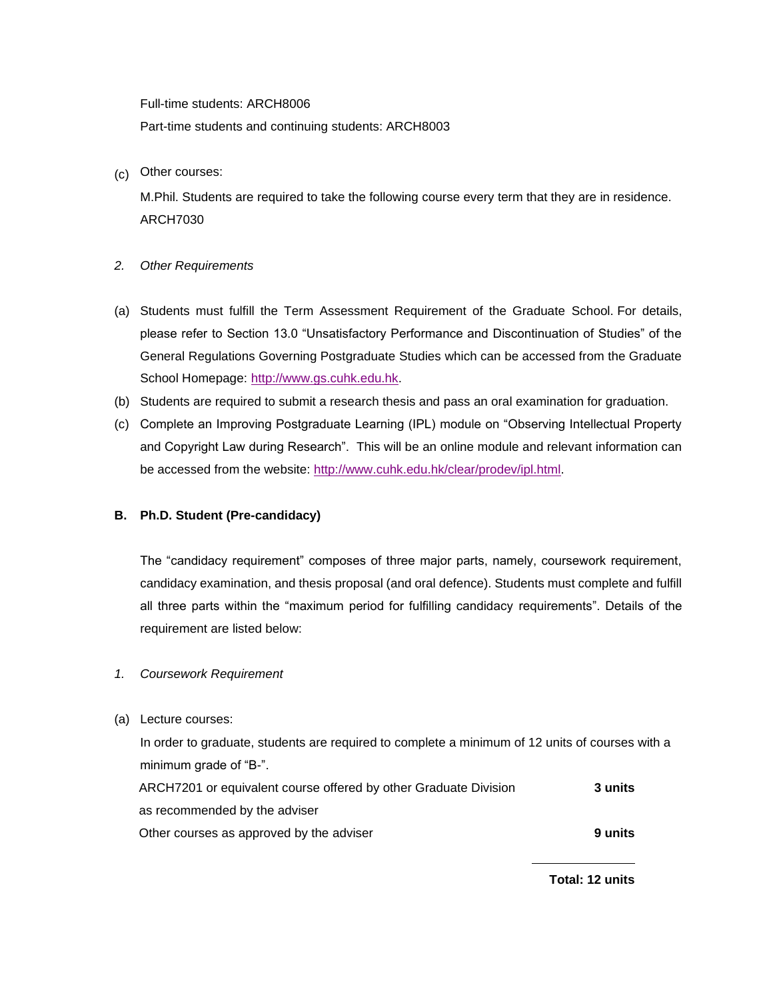Full-time students: ARCH8006 Part-time students and continuing students: ARCH8003

(c) Other courses:

M.Phil. Students are required to take the following course every term that they are in residence. ARCH7030

- *2. Other Requirements*
- (a) Students must fulfill the Term Assessment Requirement of the Graduate School. For details, please refer to Section 13.0 "Unsatisfactory Performance and Discontinuation of Studies" of the General Regulations Governing Postgraduate Studies which can be accessed from the Graduate School Homepage: [http://www.gs.cuhk.edu.hk.](http://www.gs.cuhk.edu.hk/)
- (b) Students are required to submit a research thesis and pass an oral examination for graduation.
- (c) Complete an Improving Postgraduate Learning (IPL) module on "Observing Intellectual Property and Copyright Law during Research". This will be an online module and relevant information can be accessed from the website: [http://www.cuhk.edu.hk/clear/prodev/ipl.html.](http://www.cuhk.edu.hk/clear/prodev/ipl.html)

## **B. Ph.D. Student (Pre-candidacy)**

The "candidacy requirement" composes of three major parts, namely, coursework requirement, candidacy examination, and thesis proposal (and oral defence). Students must complete and fulfill all three parts within the "maximum period for fulfilling candidacy requirements". Details of the requirement are listed below:

## *1. Coursework Requirement*

(a) Lecture courses:

In order to graduate, students are required to complete a minimum of 12 units of courses with a minimum grade of "B-". ARCH7201 or equivalent course offered by other Graduate Division **3 units**

as recommended by the adviser

Other courses as approved by the adviser **9 units** 

**Total: 12 units**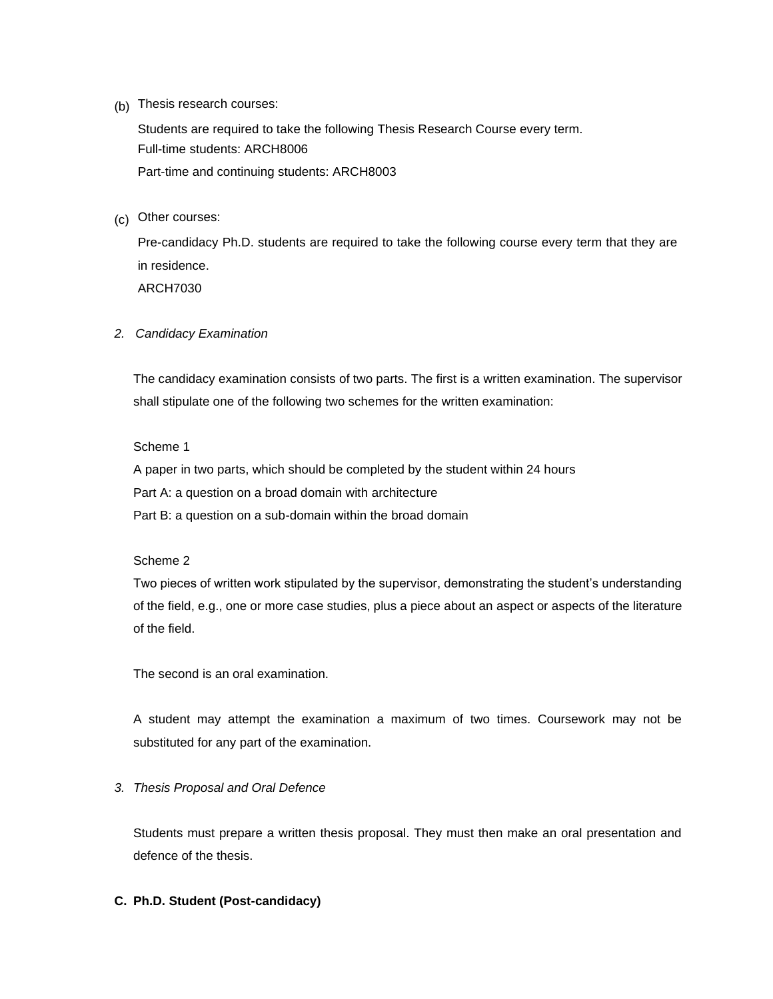(b) Thesis research courses:

Students are required to take the following Thesis Research Course every term. Full-time students: ARCH8006 Part-time and continuing students: ARCH8003

(c) Other courses:

Pre-candidacy Ph.D. students are required to take the following course every term that they are in residence. ARCH7030

*2. Candidacy Examination*

The candidacy examination consists of two parts. The first is a written examination. The supervisor shall stipulate one of the following two schemes for the written examination:

Scheme 1

A paper in two parts, which should be completed by the student within 24 hours Part A: a question on a broad domain with architecture Part B: a question on a sub-domain within the broad domain

#### Scheme 2

Two pieces of written work stipulated by the supervisor, demonstrating the student's understanding of the field, e.g., one or more case studies, plus a piece about an aspect or aspects of the literature of the field.

The second is an oral examination.

A student may attempt the examination a maximum of two times. Coursework may not be substituted for any part of the examination.

## *3. Thesis Proposal and Oral Defence*

Students must prepare a written thesis proposal. They must then make an oral presentation and defence of the thesis.

## **C. Ph.D. Student (Post-candidacy)**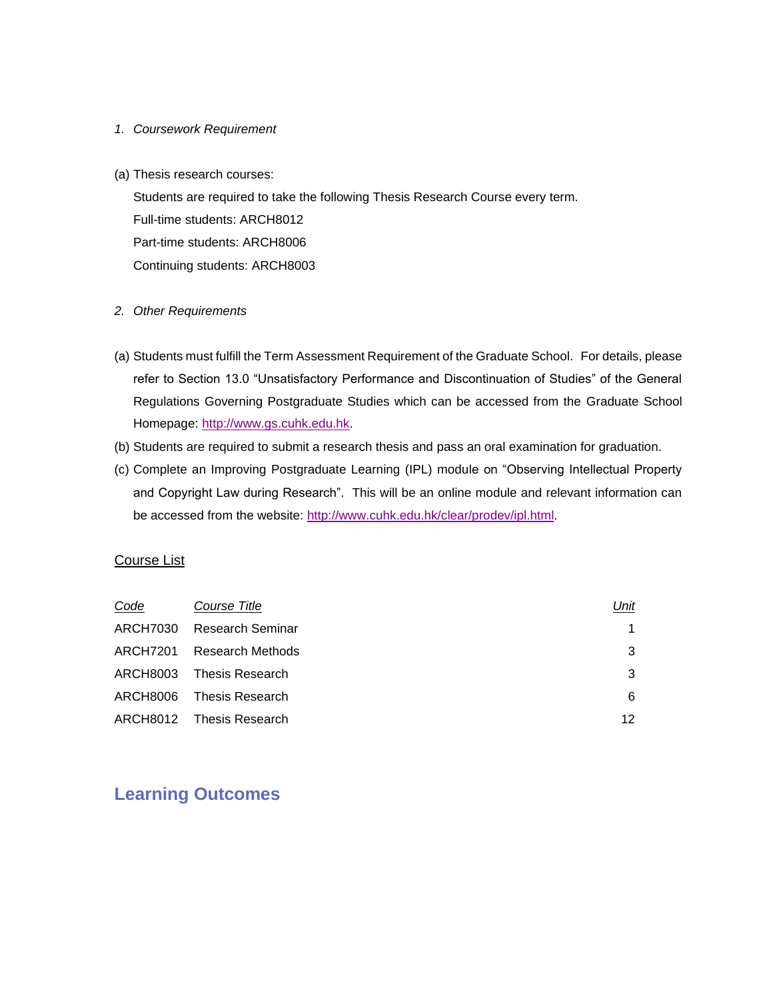#### *1. Coursework Requirement*

(a) Thesis research courses:

Students are required to take the following Thesis Research Course every term. Full-time students: ARCH8012 Part-time students: ARCH8006 Continuing students: ARCH8003

#### *2. Other Requirements*

- (a) Students must fulfill the Term Assessment Requirement of the Graduate School. For details, please refer to Section 13.0 "Unsatisfactory Performance and Discontinuation of Studies" of the General Regulations Governing Postgraduate Studies which can be accessed from the Graduate School Homepage: [http://www.gs.cuhk.edu.hk.](http://www.gs.cuhk.edu.hk/)
- (b) Students are required to submit a research thesis and pass an oral examination for graduation.
- (c) Complete an Improving Postgraduate Learning (IPL) module on "Observing Intellectual Property and Copyright Law during Research". This will be an online module and relevant information can be accessed from the website: [http://www.cuhk.edu.hk/clear/prodev/ipl.html.](http://www.cuhk.edu.hk/clear/prodev/ipl.html)

## Course List

| Code | Course Title              | Unit |
|------|---------------------------|------|
|      | ARCH7030 Research Seminar |      |
|      | ARCH7201 Research Methods | 3    |
|      | ARCH8003 Thesis Research  | 3    |
|      | ARCH8006 Thesis Research  | 6    |
|      | ARCH8012 Thesis Research  | 12   |

# **Learning Outcomes**